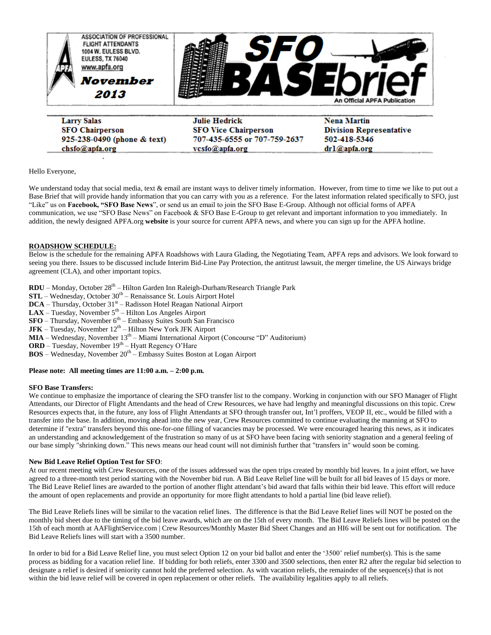

**Larry Salas SFO Chairperson** 925-238-0490 (phone & text) chsfo@apfa.org

**Julie Hedrick SFO Vice Chairperson** 707-435-6555 or 707-759-2637 vcsfo@apfa.org

**Nena Martin Division Representative** 502-418-5346 drl@apfa.org

Hello Everyone,

We understand today that social media, text & email are instant ways to deliver timely information. However, from time to time we like to put out a Base Brief that will provide handy information that you can carry with you as a reference. For the latest information related specifically to SFO, just "Like" us on **Facebook, "SFO Base News**", or send us an email to join the SFO Base E-Group. Although not official forms of APFA communication, we use "SFO Base News" on Facebook & SFO Base E-Group to get relevant and important information to you immediately. In addition, the newly designed APFA.org **website** is your source for current APFA news, and where you can sign up for the APFA hotline.

# **ROADSHOW SCHEDULE:**

Below is the schedule for the remaining APFA Roadshows with Laura Glading, the Negotiating Team, APFA reps and advisors. We look forward to seeing you there. Issues to be discussed include Interim Bid-Line Pay Protection, the antitrust lawsuit, the merger timeline, the US Airways bridge agreement (CLA), and other important topics.

**RDU** – Monday, October 28<sup>th</sup> – Hilton Garden Inn Raleigh-Durham/Research Triangle Park

**STL** – Wednesday, October 30<sup>th</sup> – Renaissance St. Louis Airport Hotel

**DCA** – Thursday, October 31<sup>st</sup> – Radisson Hotel Reagan National Airport

 $\mathbf{LAX}$  – Tuesday, November  $5^{\text{th}}$  – Hilton Los Angeles Airport

**SFO** – Thursday, November 6<sup>th</sup> – Embassy Suites South San Francisco

**JFK** – Tuesday, November  $12<sup>th</sup>$  – Hilton New York JFK Airport

**MIA** – Wednesday, November 13<sup>th</sup> – Miami International Airport (Concourse "D" Auditorium)

**ORD** – Tuesday, November 19<sup>th</sup> – Hyatt Regency O'Hare

**BOS** – Wednesday, November 20<sup>th</sup> – Embassy Suites Boston at Logan Airport

# **Please note: All meeting times are 11:00 a.m. – 2:00 p.m.**

## **SFO Base Transfers:**

We continue to emphasize the importance of clearing the SFO transfer list to the company. Working in conjunction with our SFO Manager of Flight Attendants, our Director of Flight Attendants and the head of Crew Resources, we have had lengthy and meaningful discussions on this topic. Crew Resources expects that, in the future, any loss of Flight Attendants at SFO through transfer out, Int'l proffers, VEOP II, etc., would be filled with a transfer into the base. In addition, moving ahead into the new year, Crew Resources committed to continue evaluating the manning at SFO to determine if "extra" transfers beyond this one-for-one filling of vacancies may be processed. We were encouraged hearing this news, as it indicates an understanding and acknowledgement of the frustration so many of us at SFO have been facing with seniority stagnation and a general feeling of our base simply "shrinking down." This news means our head count will not diminish further that "transfers in" would soon be coming.

### **New Bid Leave Relief Option Test for SFO**:

At our recent meeting with Crew Resources, one of the issues addressed was the open trips created by monthly bid leaves. In a joint effort, we have agreed to a three-month test period starting with the November bid run. A Bid Leave Relief line will be built for all bid leaves of 15 days or more. The Bid Leave Relief lines are awarded to the portion of another flight attendant's bid award that falls within their bid leave. This effort will reduce the amount of open replacements and provide an opportunity for more flight attendants to hold a partial line (bid leave relief).

The Bid Leave Reliefs lines will be similar to the vacation relief lines. The difference is that the Bid Leave Relief lines will NOT be posted on the monthly bid sheet due to the timing of the bid leave awards, which are on the 15th of every month. The Bid Leave Reliefs lines will be posted on the 15th of each month at AAFlightService.com | Crew Resources/Monthly Master Bid Sheet Changes and an HI6 will be sent out for notification. The Bid Leave Reliefs lines will start with a 3500 number.

In order to bid for a Bid Leave Relief line, you must select Option 12 on your bid ballot and enter the '3500' relief number(s). This is the same process as bidding for a vacation relief line. If bidding for both reliefs, enter 3300 and 3500 selections, then enter R2 after the regular bid selection to designate a relief is desired if seniority cannot hold the preferred selection. As with vacation reliefs, the remainder of the sequence(s) that is not within the bid leave relief will be covered in open replacement or other reliefs. The availability legalities apply to all reliefs.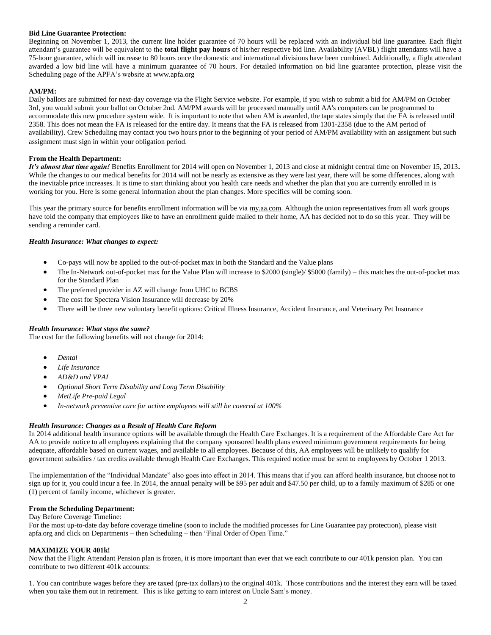# **Bid Line Guarantee Protection:**

Beginning on November 1, 2013, the current line holder guarantee of 70 hours will be replaced with an individual bid line guarantee. Each flight attendant's guarantee will be equivalent to the **total flight pay hours** of his/her respective bid line. Availability (AVBL) flight attendants will have a 75-hour guarantee, which will increase to 80 hours once the domestic and international divisions have been combined. Additionally, a flight attendant awarded a low bid line will have a minimum guarantee of 70 hours. For detailed information on bid line guarantee protection, please visit the Scheduling page of the APFA's website at www.apfa.org

## **AM/PM:**

Daily ballots are submitted for next-day coverage via the Flight Service website. For example, if you wish to submit a bid for AM/PM on October 3rd, you would submit your ballot on October 2nd. AM/PM awards will be processed manually until AA's computers can be programmed to accommodate this new procedure system wide. It is important to note that when AM is awarded, the tape states simply that the FA is released until 2358. This does not mean the FA is released for the entire day. It means that the FA is released from 1301-2358 (due to the AM period of availability). Crew Scheduling may contact you two hours prior to the beginning of your period of AM/PM availability with an assignment but such assignment must sign in within your obligation period.

## **From the Health Department:**

*It's almost that time again!* Benefits Enrollment for 2014 will open on November 1, 2013 and close at midnight central time on November 15, 2013**.** While the changes to our medical benefits for 2014 will not be nearly as extensive as they were last year, there will be some differences, along with the inevitable price increases. It is time to start thinking about you health care needs and whether the plan that you are currently enrolled in is working for you. Here is some general information about the plan changes. More specifics will be coming soon.

This year the primary source for benefits enrollment information will be via [my.aa.com.](http://my.aa.com/) Although the union representatives from all work groups have told the company that employees like to have an enrollment guide mailed to their home, AA has decided not to do so this year. They will be sending a reminder card.

# *Health Insurance: What changes to expect:*

- Co-pays will now be applied to the out-of-pocket max in both the Standard and the Value plans
- The In-Network out-of-pocket max for the Value Plan will increase to \$2000 (single)/ \$5000 (family) this matches the out-of-pocket max for the Standard Plan
- The preferred provider in AZ will change from UHC to BCBS
- The cost for Spectera Vision Insurance will decrease by 20%
- There will be three new voluntary benefit options: Critical Illness Insurance, Accident Insurance, and Veterinary Pet Insurance

### *Health Insurance: What stays the same?*

The cost for the following benefits will not change for 2014:

- *Dental*
- *Life Insurance*
- *AD&D and VPAI*
- *Optional Short Term Disability and Long Term Disability*
- *MetLife Pre-paid Legal*
- *In-network preventive care for active employees will still be covered at 100%*

# *Health Insurance: Changes as a Result of Health Care Reform*

In 2014 additional health insurance options will be available through the Health Care Exchanges. It is a requirement of the Affordable Care Act for AA to provide notice to all employees explaining that the company sponsored health plans exceed minimum government requirements for being adequate, affordable based on current wages, and available to all employees. Because of this, AA employees will be unlikely to qualify for government subsidies / tax credits available through Health Care Exchanges. This required notice must be sent to employees by October 1 2013.

The implementation of the "Individual Mandate" also goes into effect in 2014. This means that if you can afford health insurance, but choose not to sign up for it, you could incur a fee. In 2014, the annual penalty will be \$95 per adult and \$47.50 per child, up to a family maximum of \$285 or one (1) percent of family income, whichever is greater.

### **From the Scheduling Department:**

## Day Before Coverage Timeline:

For the most up-to-date day before coverage timeline (soon to include the modified processes for Line Guarantee pay protection), please visit apfa.org and click on Departments – then Scheduling – then "Final Order of Open Time."

### **MAXIMIZE YOUR 401k!**

Now that the Flight Attendant Pension plan is frozen, it is more important than ever that we each contribute to our 401k pension plan. You can contribute to two different 401k accounts:

1. You can contribute wages before they are taxed (pre-tax dollars) to the original 401k. Those contributions and the interest they earn will be taxed when you take them out in retirement. This is like getting to earn interest on Uncle Sam's money.